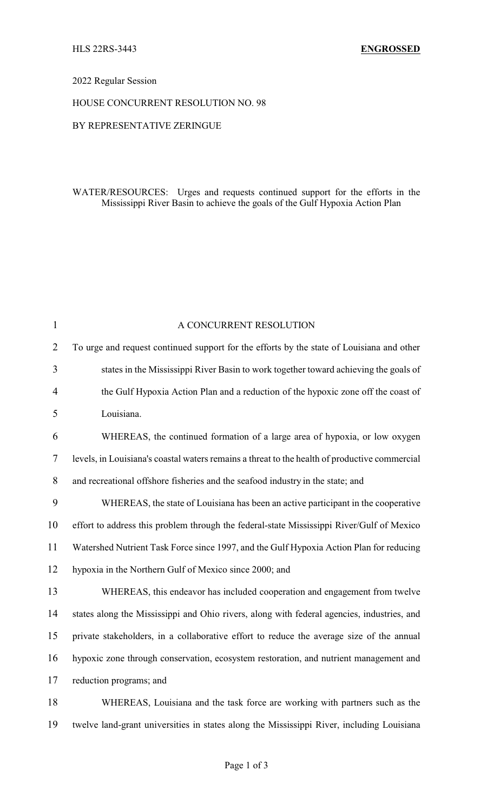## 2022 Regular Session

## HOUSE CONCURRENT RESOLUTION NO. 98

# BY REPRESENTATIVE ZERINGUE

# WATER/RESOURCES: Urges and requests continued support for the efforts in the Mississippi River Basin to achieve the goals of the Gulf Hypoxia Action Plan

| $\mathbf{1}$   | A CONCURRENT RESOLUTION                                                                       |
|----------------|-----------------------------------------------------------------------------------------------|
| $\overline{2}$ | To urge and request continued support for the efforts by the state of Louisiana and other     |
| 3              | states in the Mississippi River Basin to work together toward achieving the goals of          |
| $\overline{4}$ | the Gulf Hypoxia Action Plan and a reduction of the hypoxic zone off the coast of             |
| 5              | Louisiana.                                                                                    |
| 6              | WHEREAS, the continued formation of a large area of hypoxia, or low oxygen                    |
| 7              | levels, in Louisiana's coastal waters remains a threat to the health of productive commercial |
| $8\,$          | and recreational offshore fisheries and the seafood industry in the state; and                |
| 9              | WHEREAS, the state of Louisiana has been an active participant in the cooperative             |
| 10             | effort to address this problem through the federal-state Mississippi River/Gulf of Mexico     |
| 11             | Watershed Nutrient Task Force since 1997, and the Gulf Hypoxia Action Plan for reducing       |
| 12             | hypoxia in the Northern Gulf of Mexico since 2000; and                                        |
| 13             | WHEREAS, this endeavor has included cooperation and engagement from twelve                    |
| 14             | states along the Mississippi and Ohio rivers, along with federal agencies, industries, and    |
| 15             | private stakeholders, in a collaborative effort to reduce the average size of the annual      |
| 16             | hypoxic zone through conservation, ecosystem restoration, and nutrient management and         |
| 17             | reduction programs; and                                                                       |
| 18             | WHEREAS, Louisiana and the task force are working with partners such as the                   |
| 19             | twelve land-grant universities in states along the Mississippi River, including Louisiana     |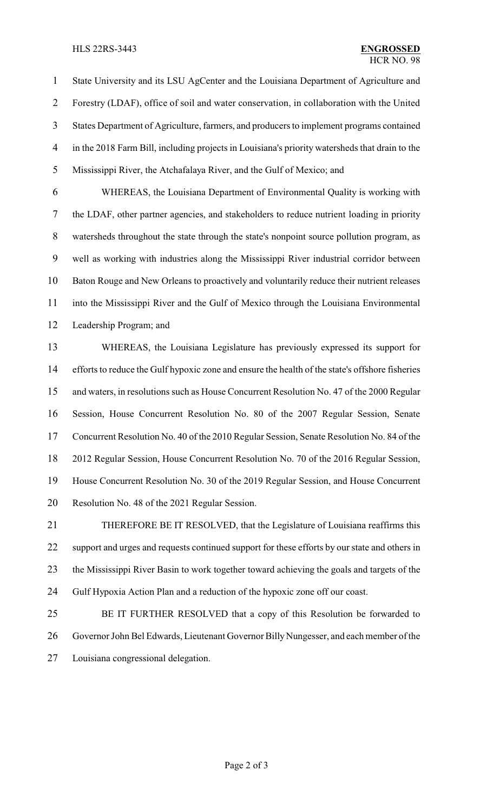#### HLS 22RS-3443 **ENGROSSED**

 State University and its LSU AgCenter and the Louisiana Department of Agriculture and Forestry (LDAF), office of soil and water conservation, in collaboration with the United States Department of Agriculture, farmers, and producers to implement programs contained in the 2018 Farm Bill, including projects in Louisiana's priority watersheds that drain to the Mississippi River, the Atchafalaya River, and the Gulf of Mexico; and

 WHEREAS, the Louisiana Department of Environmental Quality is working with the LDAF, other partner agencies, and stakeholders to reduce nutrient loading in priority watersheds throughout the state through the state's nonpoint source pollution program, as well as working with industries along the Mississippi River industrial corridor between Baton Rouge and New Orleans to proactively and voluntarily reduce their nutrient releases into the Mississippi River and the Gulf of Mexico through the Louisiana Environmental Leadership Program; and

 WHEREAS, the Louisiana Legislature has previously expressed its support for efforts to reduce the Gulf hypoxic zone and ensure the health of the state's offshore fisheries and waters, in resolutions such as House Concurrent Resolution No. 47 of the 2000 Regular Session, House Concurrent Resolution No. 80 of the 2007 Regular Session, Senate Concurrent Resolution No. 40 of the 2010 Regular Session, Senate Resolution No. 84 of the 2012 Regular Session, House Concurrent Resolution No. 70 of the 2016 Regular Session, House Concurrent Resolution No. 30 of the 2019 Regular Session, and House Concurrent Resolution No. 48 of the 2021 Regular Session.

 THEREFORE BE IT RESOLVED, that the Legislature of Louisiana reaffirms this support and urges and requests continued support for these efforts by our state and others in the Mississippi River Basin to work together toward achieving the goals and targets of the Gulf Hypoxia Action Plan and a reduction of the hypoxic zone off our coast.

 BE IT FURTHER RESOLVED that a copy of this Resolution be forwarded to 26 Governor John Bel Edwards, Lieutenant Governor Billy Nungesser, and each member of the Louisiana congressional delegation.